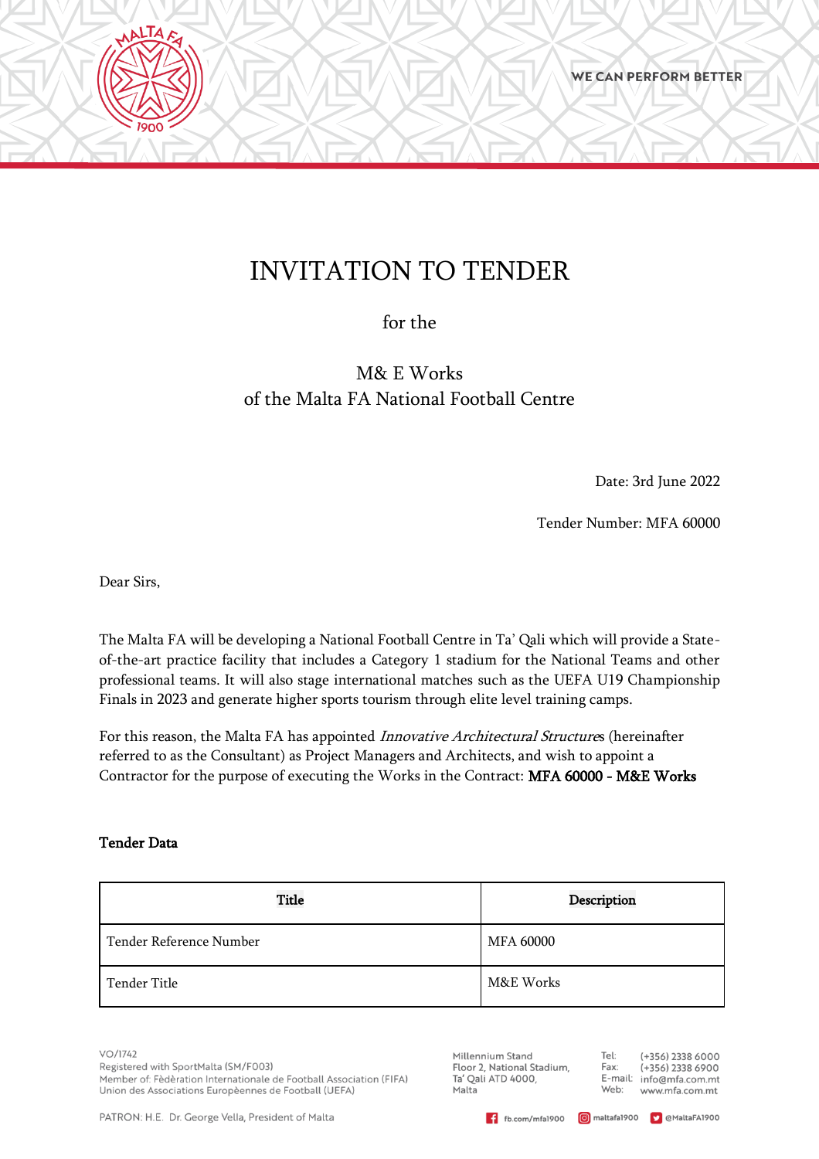# INVITATION TO TENDER

for the

M& E Works of the Malta FA National Football Centre

Date: 3rd June 2022

Tender Number: MFA 60000

Dear Sirs,

**AALTAFS** 

The Malta FA will be developing a National Football Centre in Ta' Qali which will provide a Stateof-the-art practice facility that includes a Category 1 stadium for the National Teams and other professional teams. It will also stage international matches such as the UEFA U19 Championship Finals in 2023 and generate higher sports tourism through elite level training camps.

For this reason, the Malta FA has appointed Innovative Architectural Structures (hereinafter referred to as the Consultant) as Project Managers and Architects, and wish to appoint a Contractor for the purpose of executing the Works in the Contract: MFA 60000 - M&E Works

## Tender Data

| <b>Title</b>            | Description |
|-------------------------|-------------|
| Tender Reference Number | MFA 60000   |
| Tender Title            | M&E Works   |

 $VO/1742$ 

Registered with SportMalta (SM/F003) Member of: Fèdèration Internationale de Football Association (FIFA) Union des Associations Europèennes de Football (UEFA)

PATRON: H.E. Dr. George Vella, President of Malta

Millennium Stand Floor 2, National Stadium, Ta' Qali ATD 4000, Malta

Tel: (+356) 2338 6000 Fax:  $(+356)$  2338 6900 E-mail: info@mfa.com.mt Web: www.mfa.com.mt